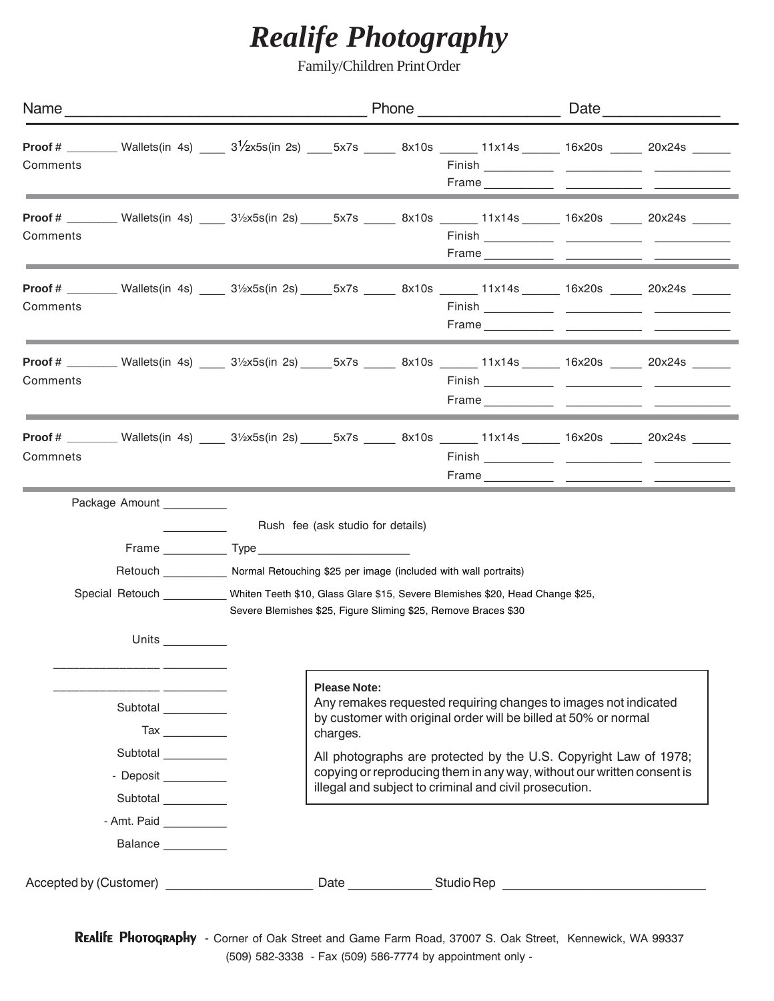## *Realife Photography*

Family/Children Print Order

|          |                                                                                                                                                                                                                  |                                                                |                                                                                                                                                                                                                                                                                                                                                                               |  | Phone ___________________                                                                                                                                                                                                      | Date |  |
|----------|------------------------------------------------------------------------------------------------------------------------------------------------------------------------------------------------------------------|----------------------------------------------------------------|-------------------------------------------------------------------------------------------------------------------------------------------------------------------------------------------------------------------------------------------------------------------------------------------------------------------------------------------------------------------------------|--|--------------------------------------------------------------------------------------------------------------------------------------------------------------------------------------------------------------------------------|------|--|
| Comments | Proof # ________ Wallets(in 4s) ____ 3 <sup>1</sup> /2x5s(in 2s) ____5x7s _____ 8x10s _____ 11x14s _____ 16x20s _____ 20x24s _____                                                                               |                                                                |                                                                                                                                                                                                                                                                                                                                                                               |  |                                                                                                                                                                                                                                |      |  |
| Comments | Proof # ________ Wallets(in 4s) ____ 3½x5s(in 2s) ____ 5x7s _____ 8x10s _____ 11x14s _____ 16x20s _____ 20x24s _____                                                                                             |                                                                |                                                                                                                                                                                                                                                                                                                                                                               |  |                                                                                                                                                                                                                                |      |  |
| Comments | Proof # ________ Wallets(in 4s) ____ 3½x5s(in 2s) ____ 5x7s ____ 8x10s _____ 11x14s _____ 16x20s _____ 20x24s _____                                                                                              |                                                                |                                                                                                                                                                                                                                                                                                                                                                               |  |                                                                                                                                                                                                                                |      |  |
| Comments | Proof # ________ Wallets(in 4s) ____ 31/2x5s(in 2s) ____ 5x7s _____ 8x10s _____ 11x14s _____ 16x20s _____ 20x24s _____                                                                                           |                                                                |                                                                                                                                                                                                                                                                                                                                                                               |  |                                                                                                                                                                                                                                |      |  |
| Commnets | Proof # ________ Wallets(in 4s) ____ 31/2x5s(in 2s) ____ 5x7s _____ 8x10s _____ 11x14s _____ 16x20s _____ 20x24s _____                                                                                           |                                                                |                                                                                                                                                                                                                                                                                                                                                                               |  |                                                                                                                                                                                                                                |      |  |
|          | Package Amount __________<br>Retouch Mormal Retouching \$25 per image (included with wall portraits)<br>Special Retouch __________ Whiten Teeth \$10, Glass Glare \$15, Severe Blemishes \$20, Head Change \$25, | Severe Blemishes \$25, Figure Sliming \$25, Remove Braces \$30 | Rush fee (ask studio for details)                                                                                                                                                                                                                                                                                                                                             |  |                                                                                                                                                                                                                                |      |  |
|          | Subtotal<br>$\frac{1}{2}$ Tax<br>Subtotal<br>- Deposit __________<br>Subtotal<br>- Amt. Paid __________                                                                                                          |                                                                | <b>Please Note:</b><br>Any remakes requested requiring changes to images not indicated<br>by customer with original order will be billed at 50% or normal<br>charges.<br>All photographs are protected by the U.S. Copyright Law of 1978;<br>copying or reproducing them in any way, without our written consent is<br>illegal and subject to criminal and civil prosecution. |  |                                                                                                                                                                                                                                |      |  |
|          | Balance _________<br>Accepted by (Customer) <b>Accepted</b> by (Customer)                                                                                                                                        |                                                                | Date                                                                                                                                                                                                                                                                                                                                                                          |  | Studio Repeated by the contract of the contract of the contract of the contract of the contract of the contract of the contract of the contract of the contract of the contract of the contract of the contract of the contrac |      |  |

REAlife Photography - Corner of Oak Street and Game Farm Road, 37007 S. Oak Street, Kennewick, WA 99337 (509) 582-3338 - Fax (509) 586-7774 by appointment only -